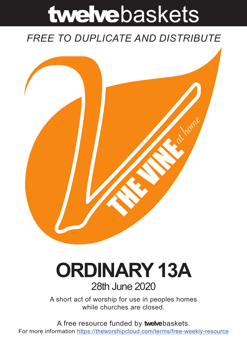# twelvebaskets

### *FREE TO DUPLICATE AND DISTRIBUTE*



## **ORDINARY 13A** 28th June 2020

A short act of worship for use in peoples homes while churches are closed.

A free resource funded by **twelve**baskets. For more information https://theworshipcloud.com/terms/free-weekly-resource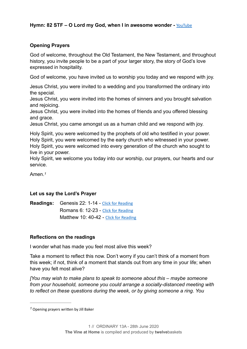#### **Opening Prayers**

God of welcome, throughout the Old Testament, the New Testament, and throughout history, you invite people to be a part of your larger story, the story of God's love expressed in hospitality.

God of welcome, you have invited us to worship you today and we respond with joy.

Jesus Christ, you were invited to a wedding and you transformed the ordinary into the special.

Jesus Christ, you were invited into the homes of sinners and you brought salvation and rejoicing.

Jesus Christ, you were invited into the homes of friends and you offered blessing and grace.

Jesus Christ, you came amongst us as a human child and we respond with joy.

Holy Spirit, you were welcomed by the prophets of old who testified in your power. Holy Spirit, you were welcomed by the early church who witnessed in your power. Holy Spirit, you were welcomed into every generation of the church who sought to live in your power.

Holy Spirit, we welcome you today into our worship, our prayers, our hearts and our service.

<span id="page-1-1"></span>Amen.*[1](#page-1-0)*

#### **Let us say the Lord's Prayer**

**Readings:** Genesis 22: 1-14 - [Click for Reading](https://www.biblegateway.com/passage/?search=Genesis+22:+1-14&version=NRSV) Romans 6: 12-23 - [Click for Reading](https://www.biblegateway.com/passage/?search=Romans+6:+12-23&version=NRSV) Matthew 10: 40-42 - [Click for Reading](https://www.biblegateway.com/passage/?search=Matthew+10:+40-42&version=NRSV)

#### **Reflections on the readings**

I wonder what has made you feel most alive this week?

Take a moment to reflect this now. Don't worry if you can't think of a moment from this week; if not, think of a moment that stands out from any time in your life; when have you felt most alive?

*[You may wish to make plans to speak to someone about this – maybe someone from your household, someone you could arrange a socially-distanced meeting with to reflect on these questions during the week, or by giving someone a ring. You* 

<span id="page-1-0"></span><sup>&</sup>lt;sup>[1](#page-1-1)</sup> Opening prayers written by Jill Baker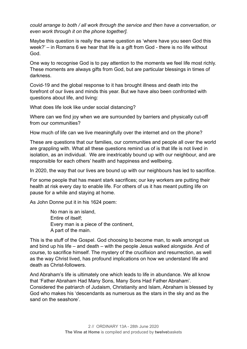*could arrange to both / all work through the service and then have a conversation, or even work through it on the phone together].* 

Maybe this question is really the same question as 'where have you seen God this week?' – in Romans 6 we hear that life is a gift from God - there is no life without God.

One way to recognise God is to pay attention to the moments we feel life most richly. These moments are always gifts from God, but are particular blessings in times of darkness.

Covid-19 and the global response to it has brought illness and death into the forefront of our lives and minds this year. But we have also been confronted with questions about life, and living:

What does life look like under social distancing?

Where can we find joy when we are surrounded by barriers and physically cut-off from our communities?

How much of life can we live meaningfully over the internet and on the phone?

These are questions that our families, our communities and people all over the world are grappling with. What all these questions remind us of is that life is not lived in isolation, as an individual. We are inextricably bound up with our neighbour, and are responsible for each others' health and happiness and wellbeing.

In 2020, the way that our lives are bound up with our neighbours has led to sacrifice.

For some people that has meant stark sacrifices; our key workers are putting their health at risk every day to enable life. For others of us it has meant putting life on pause for a while and staying at home.

As John Donne put it in his 1624 poem:

No man is an island, Entire of itself; Every man is a piece of the continent, A part of the main.

This is the stuff of the Gospel. God choosing to become man, to walk amongst us and bind up his life – and death – with the people Jesus walked alongside. And of course, to sacrifice himself. The mystery of the crucifixion and resurrection, as well as the way Christ lived, has profound implications on how we understand life and death as Christ-followers.

And Abraham's life is ultimately one which leads to life in abundance. We all know that 'Father Abraham Had Many Sons, Many Sons Had Father Abraham'. Considered the patriarch of Judaism, Christianity and Islam, Abraham is blessed by God who makes his 'descendants as numerous as the stars in the sky and as the sand on the seashore'.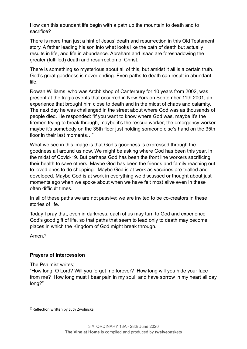How can this abundant life begin with a path up the mountain to death and to sacrifice?

There is more than just a hint of Jesus' death and resurrection in this Old Testament story. A father leading his son into what looks like the path of death but actually results in life, and life in abundance. Abraham and Isaac are foreshadowing the greater (fulfilled) death and resurrection of Christ.

There is something so mysterious about all of this, but amidst it all is a certain truth. God's great goodness is never ending. Even paths to death can result in abundant life.

Rowan Williams, who was Archbishop of Canterbury for 10 years from 2002, was present at the tragic events that occurred in New York on September 11th 2001, an experience that brought him close to death and in the midst of chaos and calamity. The next day he was challenged in the street about where God was as thousands of people died. He responded: "if you want to know where God was, maybe it's the firemen trying to break through, maybe it's the rescue worker, the emergency worker, maybe it's somebody on the 35th floor just holding someone else's hand on the 35th floor in their last moments…"

What we see in this image is that God's goodness is expressed through the goodness all around us now. We might be asking where God has been this year, in the midst of Covid-19. But perhaps God has been the front line workers sacrificing their health to save others. Maybe God has been the friends and family reaching out to loved ones to do shopping. Maybe God is at work as vaccines are trialled and developed. Maybe God is at work in everything we discussed or thought about just moments ago when we spoke about when we have felt most alive even in these often difficult times.

In all of these paths we are not passive; we are invited to be co-creators in these stories of life.

Today I pray that, even in darkness, each of us may turn to God and experience God's good gift of life, so that paths that seem to lead only to death may become places in which the Kingdom of God might break through.

<span id="page-3-1"></span>Amen.[2](#page-3-0)

#### **Prayers of intercession**

The Psalmist writes;

"How long, O Lord? Will you forget me forever? How long will you hide your face from me? How long must I bear pain in my soul, and have sorrow in my heart all day long?"

<span id="page-3-0"></span><sup>&</sup>lt;sup>[2](#page-3-1)</sup> Reflection written by Lucy Zwolinska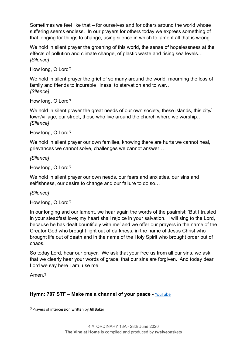Sometimes we feel like that – for ourselves and for others around the world whose suffering seems endless. In our prayers for others today we express something of that longing for things to change, using silence in which to lament all that is wrong.

We hold in silent prayer the groaning of this world, the sense of hopelessness at the effects of pollution and climate change, of plastic waste and rising sea levels… *[Silence]*

How long, O Lord?

We hold in silent prayer the grief of so many around the world, mourning the loss of family and friends to incurable illness, to starvation and to war… *[Silence]*

How long, O Lord?

We hold in silent prayer the great needs of our own society, these islands, this city/ town/village, our street, those who live around the church where we worship… *[Silence]*

How long, O Lord?

We hold in silent prayer our own families, knowing there are hurts we cannot heal, grievances we cannot solve, challenges we cannot answer…

#### *[Silence]*

How long, O Lord?

We hold in silent prayer our own needs, our fears and anxieties, our sins and selfishness, our desire to change and our failure to do so…

#### *[Silence]*

How long, O Lord?

In our longing and our lament, we hear again the words of the psalmist; 'But I trusted in your steadfast love; my heart shall rejoice in your salvation. I will sing to the Lord, because he has dealt bountifully with me' and we offer our prayers in the name of the Creator God who brought light out of darkness, in the name of Jesus Christ who brought life out of death and in the name of the Holy Spirit who brought order out of chaos.

So today Lord, hear our prayer. We ask that your free us from all our sins, we ask that we clearly hear your words of grace, that our sins are forgiven. And today dear Lord we say here I am, use me.

<span id="page-4-1"></span>Amen<sup>[3](#page-4-0)</sup>

#### **Hymn: 707 STF – Make me a channel of your peace -** [YouTube](https://www.youtube.com/watch?v=Pud1DZkeoBM)

<span id="page-4-0"></span><sup>&</sup>lt;sup>[3](#page-4-1)</sup> Prayers of intercession written by Jill Baker